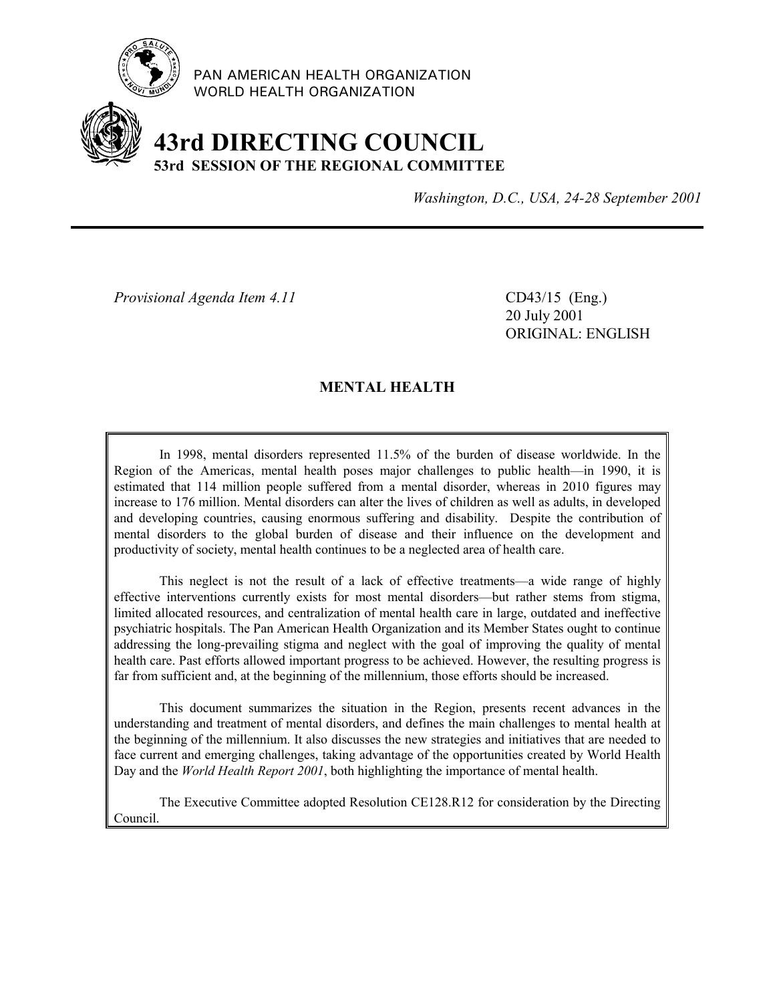

PAN AMERICAN HEALTH ORGANIZATION WORLD HEALTH ORGANIZATION

# **43rd DIRECTING COUNCIL 53rd SESSION OF THE REGIONAL COMMITTEE**

*Washington, D.C., USA, 24-28 September 2001*

*Provisional Agenda Item 4.11* CD43/15 (Eng.)

20 July 2001 ORIGINAL: ENGLISH

## **MENTAL HEALTH**

In 1998, mental disorders represented 11.5% of the burden of disease worldwide. In the Region of the Americas, mental health poses major challenges to public health—in 1990, it is estimated that 114 million people suffered from a mental disorder, whereas in 2010 figures may increase to 176 million. Mental disorders can alter the lives of children as well as adults, in developed and developing countries, causing enormous suffering and disability. Despite the contribution of mental disorders to the global burden of disease and their influence on the development and productivity of society, mental health continues to be a neglected area of health care.

This neglect is not the result of a lack of effective treatments—a wide range of highly effective interventions currently exists for most mental disorders—but rather stems from stigma, limited allocated resources, and centralization of mental health care in large, outdated and ineffective psychiatric hospitals. The Pan American Health Organization and its Member States ought to continue addressing the long-prevailing stigma and neglect with the goal of improving the quality of mental health care. Past efforts allowed important progress to be achieved. However, the resulting progress is far from sufficient and, at the beginning of the millennium, those efforts should be increased.

This document summarizes the situation in the Region, presents recent advances in the understanding and treatment of mental disorders, and defines the main challenges to mental health at the beginning of the millennium. It also discusses the new strategies and initiatives that are needed to face current and emerging challenges, taking advantage of the opportunities created by World Health Day and the *World Health Report 2001*, both highlighting the importance of mental health.

The Executive Committee adopted Resolution CE128.R12 for consideration by the Directing Council.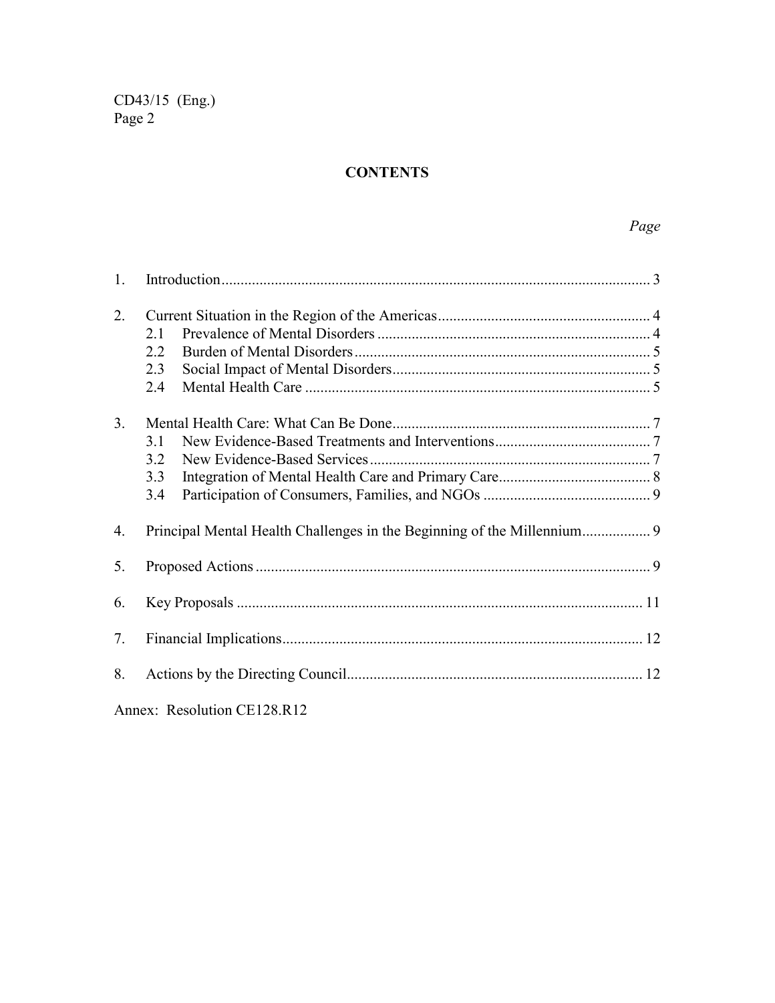# **CONTENTS**

| 1. |                             |  |
|----|-----------------------------|--|
| 2. | 2.1<br>2.2<br>2.3<br>2.4    |  |
| 3. |                             |  |
|    | 31                          |  |
|    | 3.2                         |  |
|    | 3.3                         |  |
|    | 3.4                         |  |
| 4. |                             |  |
| 5. |                             |  |
| 6. |                             |  |
| 7. |                             |  |
| 8. |                             |  |
|    | Annex: Resolution CE128.R12 |  |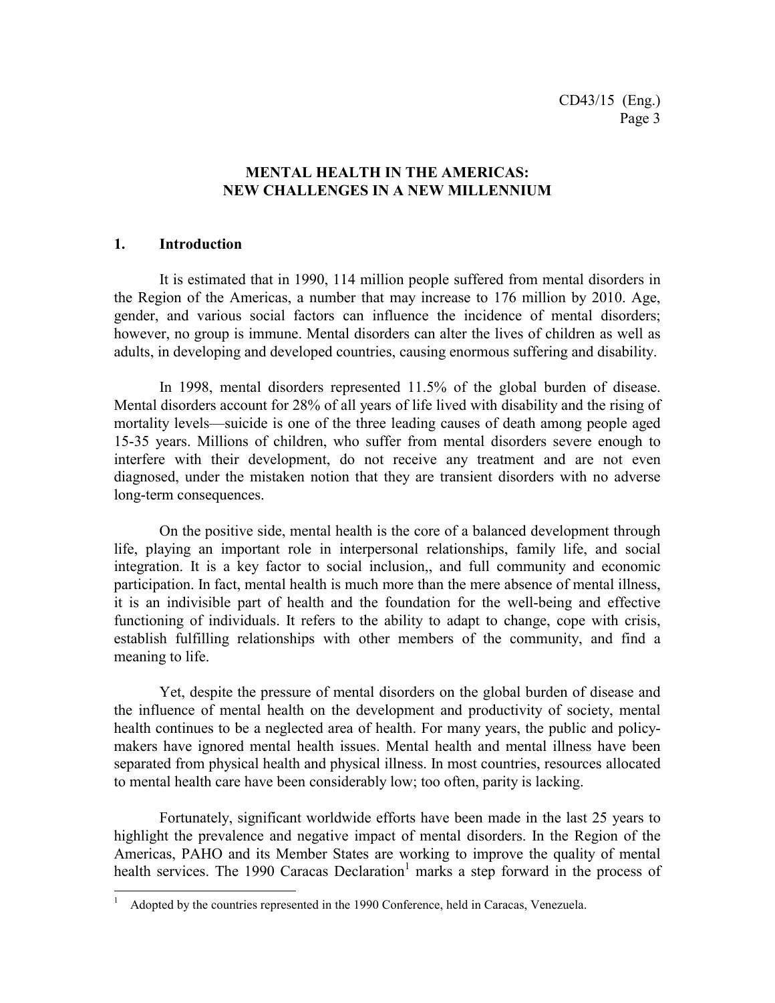## **MENTAL HEALTH IN THE AMERICAS: NEW CHALLENGES IN A NEW MILLENNIUM**

#### **1. Introduction**

 $\overline{a}$ 

It is estimated that in 1990, 114 million people suffered from mental disorders in the Region of the Americas, a number that may increase to 176 million by 2010. Age, gender, and various social factors can influence the incidence of mental disorders; however, no group is immune. Mental disorders can alter the lives of children as well as adults, in developing and developed countries, causing enormous suffering and disability.

In 1998, mental disorders represented 11.5% of the global burden of disease. Mental disorders account for 28% of all years of life lived with disability and the rising of mortality levels—suicide is one of the three leading causes of death among people aged 15-35 years. Millions of children, who suffer from mental disorders severe enough to interfere with their development, do not receive any treatment and are not even diagnosed, under the mistaken notion that they are transient disorders with no adverse long-term consequences.

On the positive side, mental health is the core of a balanced development through life, playing an important role in interpersonal relationships, family life, and social integration. It is a key factor to social inclusion,, and full community and economic participation. In fact, mental health is much more than the mere absence of mental illness, it is an indivisible part of health and the foundation for the well-being and effective functioning of individuals. It refers to the ability to adapt to change, cope with crisis, establish fulfilling relationships with other members of the community, and find a meaning to life.

Yet, despite the pressure of mental disorders on the global burden of disease and the influence of mental health on the development and productivity of society, mental health continues to be a neglected area of health. For many years, the public and policymakers have ignored mental health issues. Mental health and mental illness have been separated from physical health and physical illness. In most countries, resources allocated to mental health care have been considerably low; too often, parity is lacking.

Fortunately, significant worldwide efforts have been made in the last 25 years to highlight the prevalence and negative impact of mental disorders. In the Region of the Americas, PAHO and its Member States are working to improve the quality of mental health services. The 1990 Caracas Declaration<sup>1</sup> marks a step forward in the process of

<sup>1</sup> Adopted by the countries represented in the 1990 Conference, held in Caracas, Venezuela.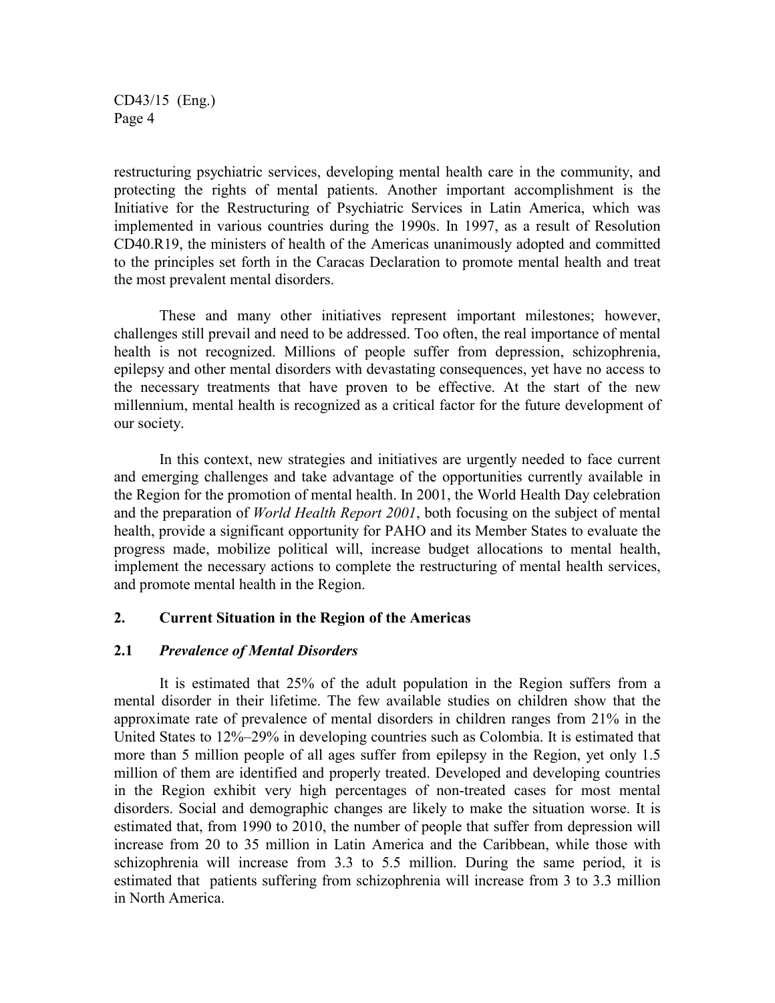restructuring psychiatric services, developing mental health care in the community, and protecting the rights of mental patients. Another important accomplishment is the Initiative for the Restructuring of Psychiatric Services in Latin America, which was implemented in various countries during the 1990s. In 1997, as a result of Resolution CD40.R19, the ministers of health of the Americas unanimously adopted and committed to the principles set forth in the Caracas Declaration to promote mental health and treat the most prevalent mental disorders.

These and many other initiatives represent important milestones; however, challenges still prevail and need to be addressed. Too often, the real importance of mental health is not recognized. Millions of people suffer from depression, schizophrenia, epilepsy and other mental disorders with devastating consequences, yet have no access to the necessary treatments that have proven to be effective. At the start of the new millennium, mental health is recognized as a critical factor for the future development of our society.

In this context, new strategies and initiatives are urgently needed to face current and emerging challenges and take advantage of the opportunities currently available in the Region for the promotion of mental health. In 2001, the World Health Day celebration and the preparation of *World Health Report 2001*, both focusing on the subject of mental health, provide a significant opportunity for PAHO and its Member States to evaluate the progress made, mobilize political will, increase budget allocations to mental health, implement the necessary actions to complete the restructuring of mental health services, and promote mental health in the Region.

## **2. Current Situation in the Region of the Americas**

## **2.1** *Prevalence of Mental Disorders*

It is estimated that 25% of the adult population in the Region suffers from a mental disorder in their lifetime. The few available studies on children show that the approximate rate of prevalence of mental disorders in children ranges from 21% in the United States to 12%–29% in developing countries such as Colombia. It is estimated that more than 5 million people of all ages suffer from epilepsy in the Region, yet only 1.5 million of them are identified and properly treated. Developed and developing countries in the Region exhibit very high percentages of non-treated cases for most mental disorders. Social and demographic changes are likely to make the situation worse. It is estimated that, from 1990 to 2010, the number of people that suffer from depression will increase from 20 to 35 million in Latin America and the Caribbean, while those with schizophrenia will increase from 3.3 to 5.5 million. During the same period, it is estimated that patients suffering from schizophrenia will increase from 3 to 3.3 million in North America.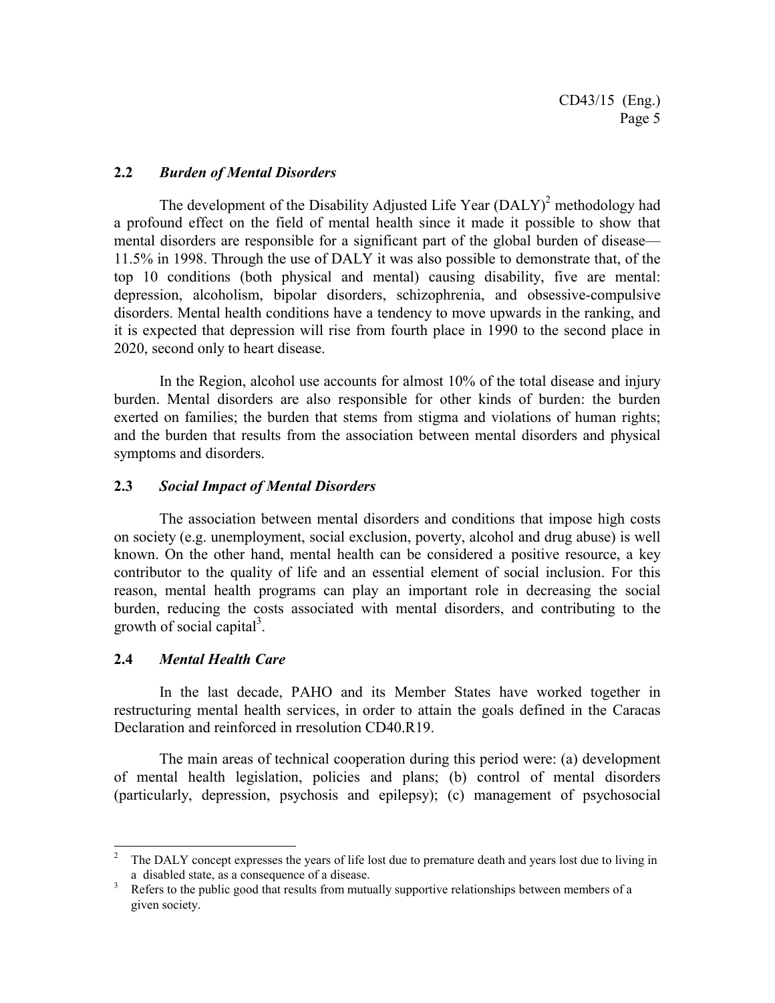## **2.2** *Burden of Mental Disorders*

The development of the Disability Adjusted Life Year  $(DALY)^2$  methodology had a profound effect on the field of mental health since it made it possible to show that mental disorders are responsible for a significant part of the global burden of disease— 11.5% in 1998. Through the use of DALY it was also possible to demonstrate that, of the top 10 conditions (both physical and mental) causing disability, five are mental: depression, alcoholism, bipolar disorders, schizophrenia, and obsessive-compulsive disorders. Mental health conditions have a tendency to move upwards in the ranking, and it is expected that depression will rise from fourth place in 1990 to the second place in 2020, second only to heart disease.

In the Region, alcohol use accounts for almost 10% of the total disease and injury burden. Mental disorders are also responsible for other kinds of burden: the burden exerted on families; the burden that stems from stigma and violations of human rights; and the burden that results from the association between mental disorders and physical symptoms and disorders.

## **2.3** *Social Impact of Mental Disorders*

The association between mental disorders and conditions that impose high costs on society (e.g. unemployment, social exclusion, poverty, alcohol and drug abuse) is well known. On the other hand, mental health can be considered a positive resource, a key contributor to the quality of life and an essential element of social inclusion. For this reason, mental health programs can play an important role in decreasing the social burden, reducing the costs associated with mental disorders, and contributing to the growth of social capital<sup>3</sup>.

## **2.4** *Mental Health Care*

In the last decade, PAHO and its Member States have worked together in restructuring mental health services, in order to attain the goals defined in the Caracas Declaration and reinforced in rresolution CD40.R19.

The main areas of technical cooperation during this period were: (a) development of mental health legislation, policies and plans; (b) control of mental disorders (particularly, depression, psychosis and epilepsy); (c) management of psychosocial

<sup>&</sup>lt;sup>2</sup> The DALY concept expresses the years of life lost due to premature death and years lost due to living in a disabled state, as a consequence of a disease.

<sup>3</sup> Refers to the public good that results from mutually supportive relationships between members of a given society.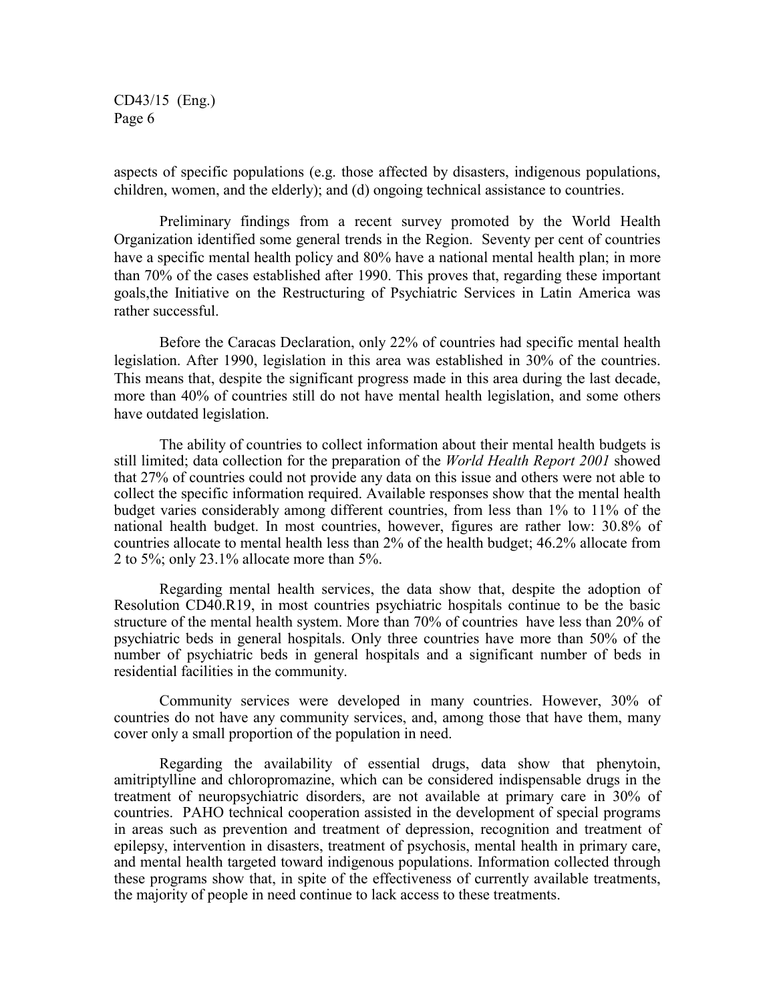aspects of specific populations (e.g. those affected by disasters, indigenous populations, children, women, and the elderly); and (d) ongoing technical assistance to countries.

Preliminary findings from a recent survey promoted by the World Health Organization identified some general trends in the Region. Seventy per cent of countries have a specific mental health policy and 80% have a national mental health plan; in more than 70% of the cases established after 1990. This proves that, regarding these important goals,the Initiative on the Restructuring of Psychiatric Services in Latin America was rather successful.

Before the Caracas Declaration, only 22% of countries had specific mental health legislation. After 1990, legislation in this area was established in 30% of the countries. This means that, despite the significant progress made in this area during the last decade, more than 40% of countries still do not have mental health legislation, and some others have outdated legislation.

The ability of countries to collect information about their mental health budgets is still limited; data collection for the preparation of the *World Health Report 2001* showed that 27% of countries could not provide any data on this issue and others were not able to collect the specific information required. Available responses show that the mental health budget varies considerably among different countries, from less than 1% to 11% of the national health budget. In most countries, however, figures are rather low: 30.8% of countries allocate to mental health less than 2% of the health budget; 46.2% allocate from 2 to 5%; only 23.1% allocate more than 5%.

Regarding mental health services, the data show that, despite the adoption of Resolution CD40.R19, in most countries psychiatric hospitals continue to be the basic structure of the mental health system. More than 70% of countries have less than 20% of psychiatric beds in general hospitals. Only three countries have more than 50% of the number of psychiatric beds in general hospitals and a significant number of beds in residential facilities in the community.

Community services were developed in many countries. However, 30% of countries do not have any community services, and, among those that have them, many cover only a small proportion of the population in need.

Regarding the availability of essential drugs, data show that phenytoin, amitriptylline and chloropromazine, which can be considered indispensable drugs in the treatment of neuropsychiatric disorders, are not available at primary care in 30% of countries. PAHO technical cooperation assisted in the development of special programs in areas such as prevention and treatment of depression, recognition and treatment of epilepsy, intervention in disasters, treatment of psychosis, mental health in primary care, and mental health targeted toward indigenous populations. Information collected through these programs show that, in spite of the effectiveness of currently available treatments, the majority of people in need continue to lack access to these treatments.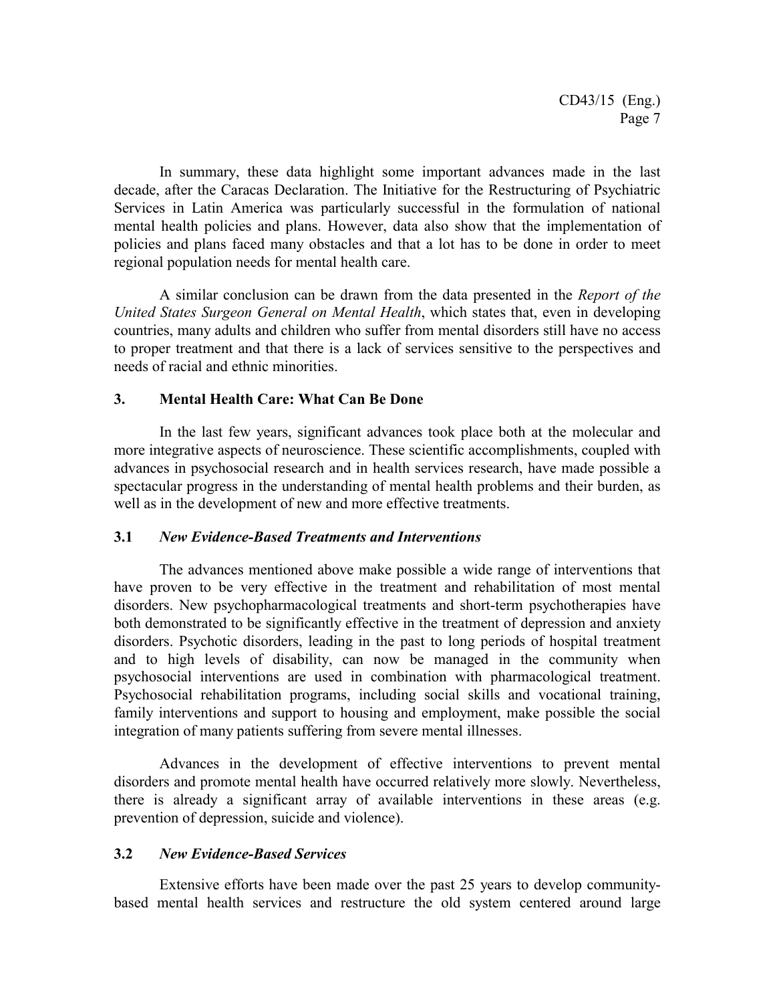In summary, these data highlight some important advances made in the last decade, after the Caracas Declaration. The Initiative for the Restructuring of Psychiatric Services in Latin America was particularly successful in the formulation of national mental health policies and plans. However, data also show that the implementation of policies and plans faced many obstacles and that a lot has to be done in order to meet regional population needs for mental health care.

A similar conclusion can be drawn from the data presented in the *Report of the United States Surgeon General on Mental Health*, which states that, even in developing countries, many adults and children who suffer from mental disorders still have no access to proper treatment and that there is a lack of services sensitive to the perspectives and needs of racial and ethnic minorities.

## **3. Mental Health Care: What Can Be Done**

In the last few years, significant advances took place both at the molecular and more integrative aspects of neuroscience. These scientific accomplishments, coupled with advances in psychosocial research and in health services research, have made possible a spectacular progress in the understanding of mental health problems and their burden, as well as in the development of new and more effective treatments.

## **3.1** *New Evidence-Based Treatments and Interventions*

The advances mentioned above make possible a wide range of interventions that have proven to be very effective in the treatment and rehabilitation of most mental disorders. New psychopharmacological treatments and short-term psychotherapies have both demonstrated to be significantly effective in the treatment of depression and anxiety disorders. Psychotic disorders, leading in the past to long periods of hospital treatment and to high levels of disability, can now be managed in the community when psychosocial interventions are used in combination with pharmacological treatment. Psychosocial rehabilitation programs, including social skills and vocational training, family interventions and support to housing and employment, make possible the social integration of many patients suffering from severe mental illnesses.

Advances in the development of effective interventions to prevent mental disorders and promote mental health have occurred relatively more slowly. Nevertheless, there is already a significant array of available interventions in these areas (e.g. prevention of depression, suicide and violence).

## **3.2** *New Evidence-Based Services*

Extensive efforts have been made over the past 25 years to develop communitybased mental health services and restructure the old system centered around large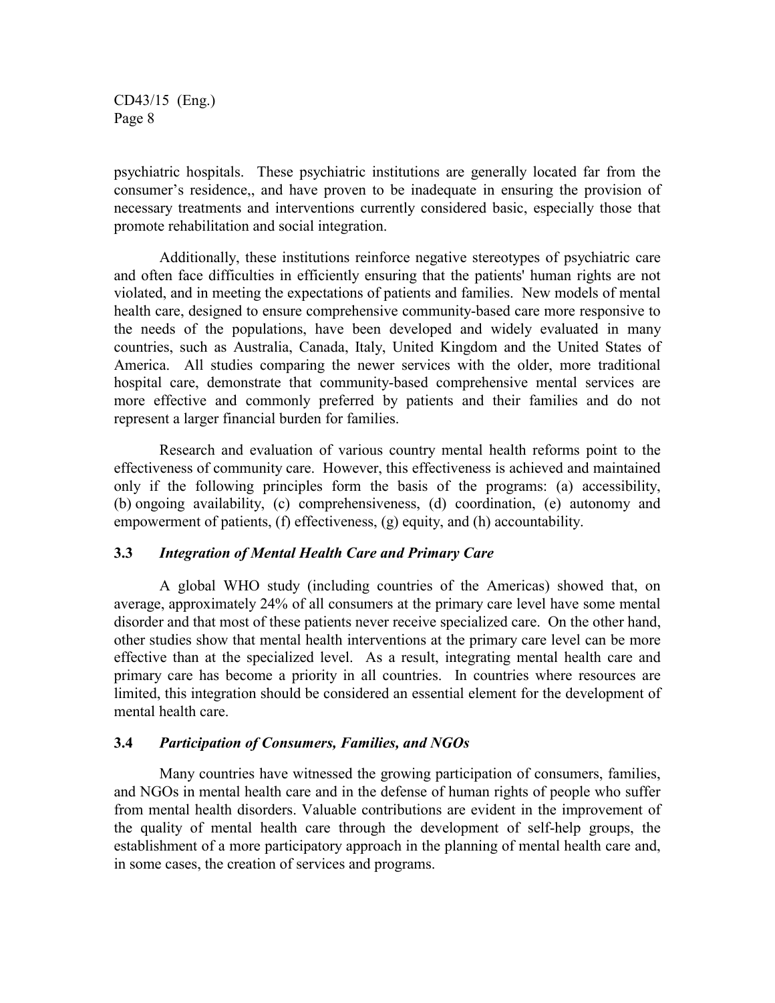psychiatric hospitals. These psychiatric institutions are generally located far from the consumer's residence,, and have proven to be inadequate in ensuring the provision of necessary treatments and interventions currently considered basic, especially those that promote rehabilitation and social integration.

Additionally, these institutions reinforce negative stereotypes of psychiatric care and often face difficulties in efficiently ensuring that the patients' human rights are not violated, and in meeting the expectations of patients and families. New models of mental health care, designed to ensure comprehensive community-based care more responsive to the needs of the populations, have been developed and widely evaluated in many countries, such as Australia, Canada, Italy, United Kingdom and the United States of America. All studies comparing the newer services with the older, more traditional hospital care, demonstrate that community-based comprehensive mental services are more effective and commonly preferred by patients and their families and do not represent a larger financial burden for families.

Research and evaluation of various country mental health reforms point to the effectiveness of community care. However, this effectiveness is achieved and maintained only if the following principles form the basis of the programs: (a) accessibility, (b) ongoing availability, (c) comprehensiveness, (d) coordination, (e) autonomy and empowerment of patients, (f) effectiveness, (g) equity, and (h) accountability.

## **3.3** *Integration of Mental Health Care and Primary Care*

A global WHO study (including countries of the Americas) showed that, on average, approximately 24% of all consumers at the primary care level have some mental disorder and that most of these patients never receive specialized care. On the other hand, other studies show that mental health interventions at the primary care level can be more effective than at the specialized level. As a result, integrating mental health care and primary care has become a priority in all countries. In countries where resources are limited, this integration should be considered an essential element for the development of mental health care.

## **3.4** *Participation of Consumers, Families, and NGOs*

Many countries have witnessed the growing participation of consumers, families, and NGOs in mental health care and in the defense of human rights of people who suffer from mental health disorders. Valuable contributions are evident in the improvement of the quality of mental health care through the development of self-help groups, the establishment of a more participatory approach in the planning of mental health care and, in some cases, the creation of services and programs.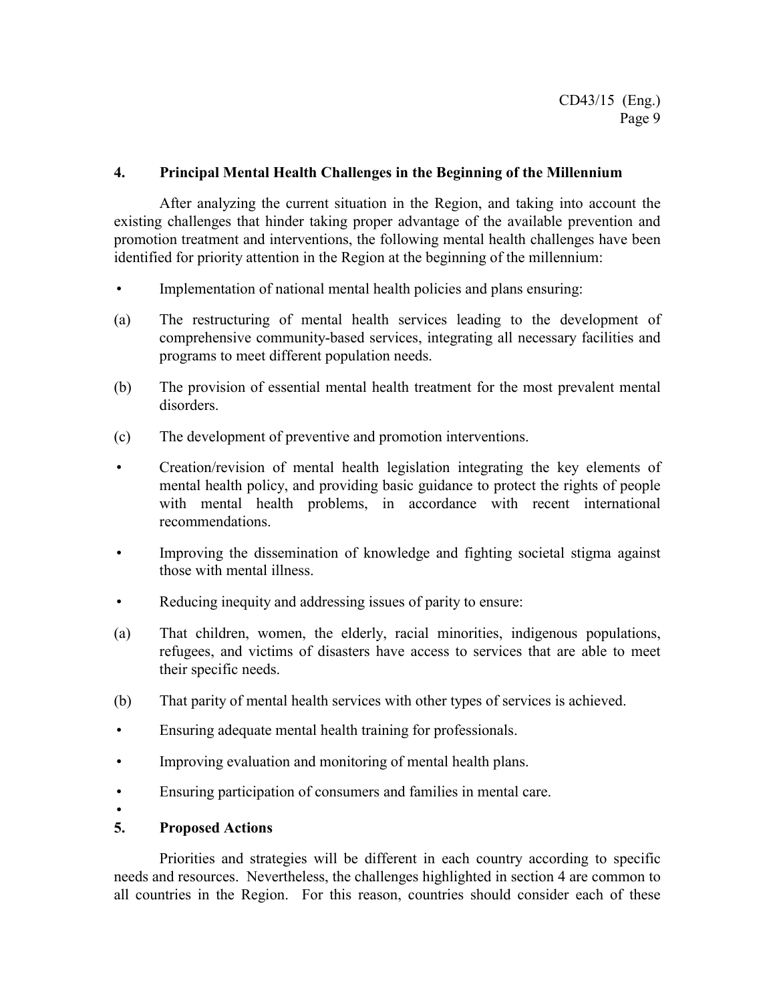## **4. Principal Mental Health Challenges in the Beginning of the Millennium**

After analyzing the current situation in the Region, and taking into account the existing challenges that hinder taking proper advantage of the available prevention and promotion treatment and interventions, the following mental health challenges have been identified for priority attention in the Region at the beginning of the millennium:

- Implementation of national mental health policies and plans ensuring:
- (a) The restructuring of mental health services leading to the development of comprehensive community-based services, integrating all necessary facilities and programs to meet different population needs.
- (b) The provision of essential mental health treatment for the most prevalent mental disorders.
- (c) The development of preventive and promotion interventions.
- Creation/revision of mental health legislation integrating the key elements of mental health policy, and providing basic guidance to protect the rights of people with mental health problems, in accordance with recent international recommendations.
- Improving the dissemination of knowledge and fighting societal stigma against those with mental illness.
- Reducing inequity and addressing issues of parity to ensure:
- (a) That children, women, the elderly, racial minorities, indigenous populations, refugees, and victims of disasters have access to services that are able to meet their specific needs.
- (b) That parity of mental health services with other types of services is achieved.
- Ensuring adequate mental health training for professionals.
- Improving evaluation and monitoring of mental health plans.
- Ensuring participation of consumers and families in mental care.
- $\bullet$

## **5. Proposed Actions**

Priorities and strategies will be different in each country according to specific needs and resources. Nevertheless, the challenges highlighted in section 4 are common to all countries in the Region. For this reason, countries should consider each of these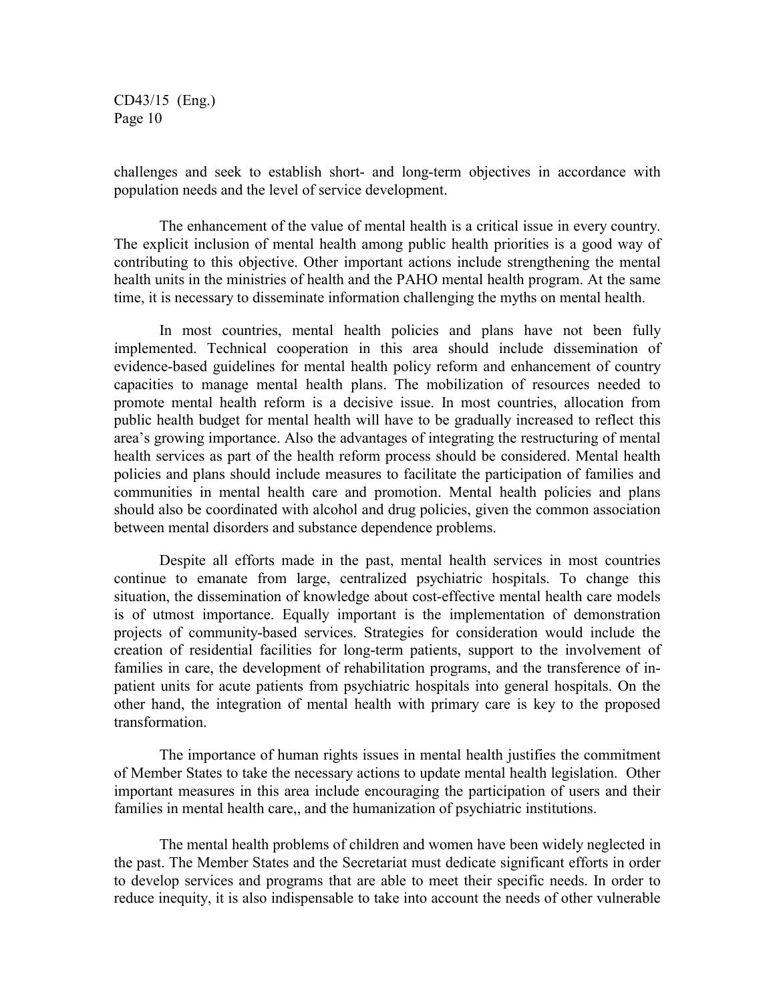challenges and seek to establish short- and long-term objectives in accordance with population needs and the level of service development.

The enhancement of the value of mental health is a critical issue in every country. The explicit inclusion of mental health among public health priorities is a good way of contributing to this objective. Other important actions include strengthening the mental health units in the ministries of health and the PAHO mental health program. At the same time, it is necessary to disseminate information challenging the myths on mental health.

In most countries, mental health policies and plans have not been fully implemented. Technical cooperation in this area should include dissemination of evidence-based guidelines for mental health policy reform and enhancement of country capacities to manage mental health plans. The mobilization of resources needed to promote mental health reform is a decisive issue. In most countries, allocation from public health budget for mental health will have to be gradually increased to reflect this area's growing importance. Also the advantages of integrating the restructuring of mental health services as part of the health reform process should be considered. Mental health policies and plans should include measures to facilitate the participation of families and communities in mental health care and promotion. Mental health policies and plans should also be coordinated with alcohol and drug policies, given the common association between mental disorders and substance dependence problems.

Despite all efforts made in the past, mental health services in most countries continue to emanate from large, centralized psychiatric hospitals. To change this situation, the dissemination of knowledge about cost-effective mental health care models is of utmost importance. Equally important is the implementation of demonstration projects of community-based services. Strategies for consideration would include the creation of residential facilities for long-term patients, support to the involvement of families in care, the development of rehabilitation programs, and the transference of inpatient units for acute patients from psychiatric hospitals into general hospitals. On the other hand, the integration of mental health with primary care is key to the proposed transformation.

The importance of human rights issues in mental health justifies the commitment of Member States to take the necessary actions to update mental health legislation. Other important measures in this area include encouraging the participation of users and their families in mental health care,, and the humanization of psychiatric institutions.

The mental health problems of children and women have been widely neglected in the past. The Member States and the Secretariat must dedicate significant efforts in order to develop services and programs that are able to meet their specific needs. In order to reduce inequity, it is also indispensable to take into account the needs of other vulnerable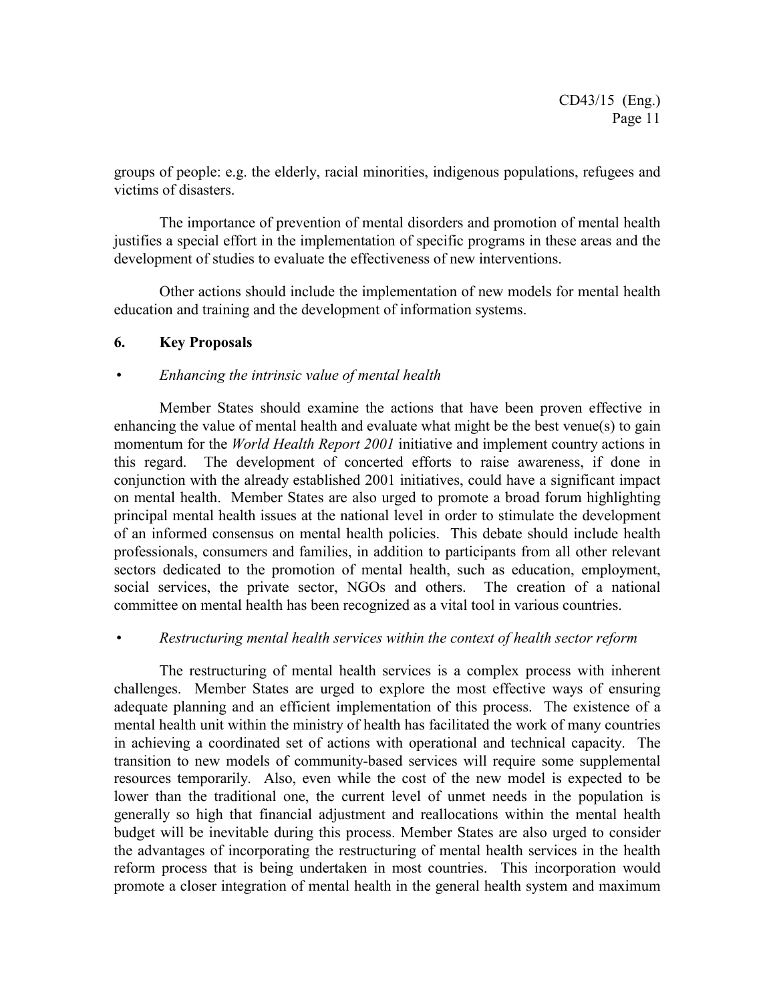groups of people: e.g. the elderly, racial minorities, indigenous populations, refugees and victims of disasters.

The importance of prevention of mental disorders and promotion of mental health justifies a special effort in the implementation of specific programs in these areas and the development of studies to evaluate the effectiveness of new interventions.

Other actions should include the implementation of new models for mental health education and training and the development of information systems.

## **6. Key Proposals**

## *Enhancing the intrinsic value of mental health*

Member States should examine the actions that have been proven effective in enhancing the value of mental health and evaluate what might be the best venue(s) to gain momentum for the *World Health Report 2001* initiative and implement country actions in this regard. The development of concerted efforts to raise awareness, if done in conjunction with the already established 2001 initiatives, could have a significant impact on mental health. Member States are also urged to promote a broad forum highlighting principal mental health issues at the national level in order to stimulate the development of an informed consensus on mental health policies. This debate should include health professionals, consumers and families, in addition to participants from all other relevant sectors dedicated to the promotion of mental health, such as education, employment, social services, the private sector, NGOs and others. The creation of a national committee on mental health has been recognized as a vital tool in various countries.

## *Restructuring mental health services within the context of health sector reform*

The restructuring of mental health services is a complex process with inherent challenges. Member States are urged to explore the most effective ways of ensuring adequate planning and an efficient implementation of this process. The existence of a mental health unit within the ministry of health has facilitated the work of many countries in achieving a coordinated set of actions with operational and technical capacity. The transition to new models of community-based services will require some supplemental resources temporarily. Also, even while the cost of the new model is expected to be lower than the traditional one, the current level of unmet needs in the population is generally so high that financial adjustment and reallocations within the mental health budget will be inevitable during this process. Member States are also urged to consider the advantages of incorporating the restructuring of mental health services in the health reform process that is being undertaken in most countries. This incorporation would promote a closer integration of mental health in the general health system and maximum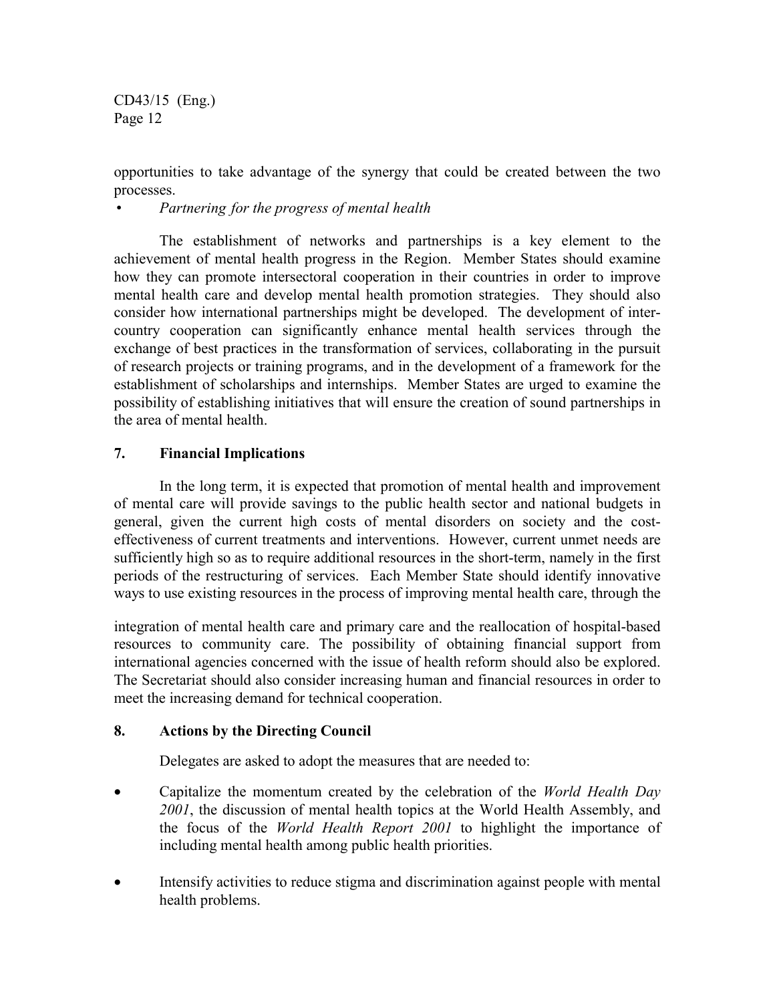opportunities to take advantage of the synergy that could be created between the two processes.

*Partnering for the progress of mental health*

The establishment of networks and partnerships is a key element to the achievement of mental health progress in the Region. Member States should examine how they can promote intersectoral cooperation in their countries in order to improve mental health care and develop mental health promotion strategies. They should also consider how international partnerships might be developed. The development of intercountry cooperation can significantly enhance mental health services through the exchange of best practices in the transformation of services, collaborating in the pursuit of research projects or training programs, and in the development of a framework for the establishment of scholarships and internships. Member States are urged to examine the possibility of establishing initiatives that will ensure the creation of sound partnerships in the area of mental health.

## **7. Financial Implications**

In the long term, it is expected that promotion of mental health and improvement of mental care will provide savings to the public health sector and national budgets in general, given the current high costs of mental disorders on society and the costeffectiveness of current treatments and interventions. However, current unmet needs are sufficiently high so as to require additional resources in the short-term, namely in the first periods of the restructuring of services. Each Member State should identify innovative ways to use existing resources in the process of improving mental health care, through the

integration of mental health care and primary care and the reallocation of hospital-based resources to community care. The possibility of obtaining financial support from international agencies concerned with the issue of health reform should also be explored. The Secretariat should also consider increasing human and financial resources in order to meet the increasing demand for technical cooperation.

## **8. Actions by the Directing Council**

Delegates are asked to adopt the measures that are needed to:

- Capitalize the momentum created by the celebration of the *World Health Day 2001*, the discussion of mental health topics at the World Health Assembly, and the focus of the *World Health Report 2001* to highlight the importance of including mental health among public health priorities.
- Intensify activities to reduce stigma and discrimination against people with mental health problems.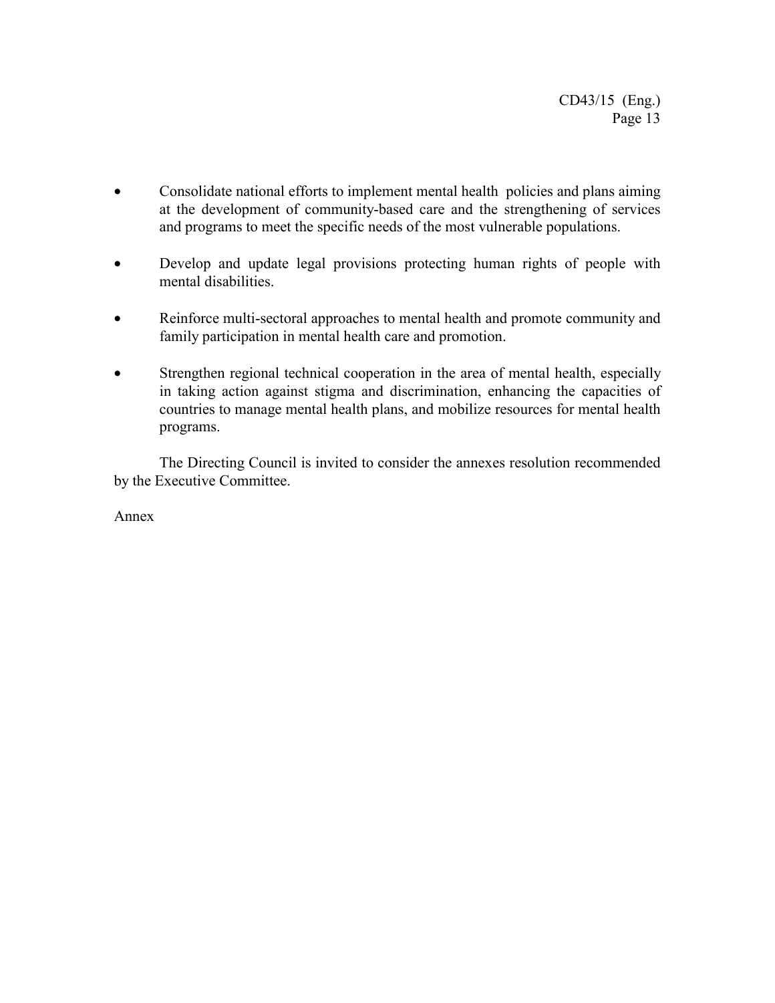- Consolidate national efforts to implement mental health policies and plans aiming at the development of community-based care and the strengthening of services and programs to meet the specific needs of the most vulnerable populations.
- Develop and update legal provisions protecting human rights of people with mental disabilities.
- Reinforce multi-sectoral approaches to mental health and promote community and family participation in mental health care and promotion.
- Strengthen regional technical cooperation in the area of mental health, especially in taking action against stigma and discrimination, enhancing the capacities of countries to manage mental health plans, and mobilize resources for mental health programs.

The Directing Council is invited to consider the annexes resolution recommended by the Executive Committee.

Annex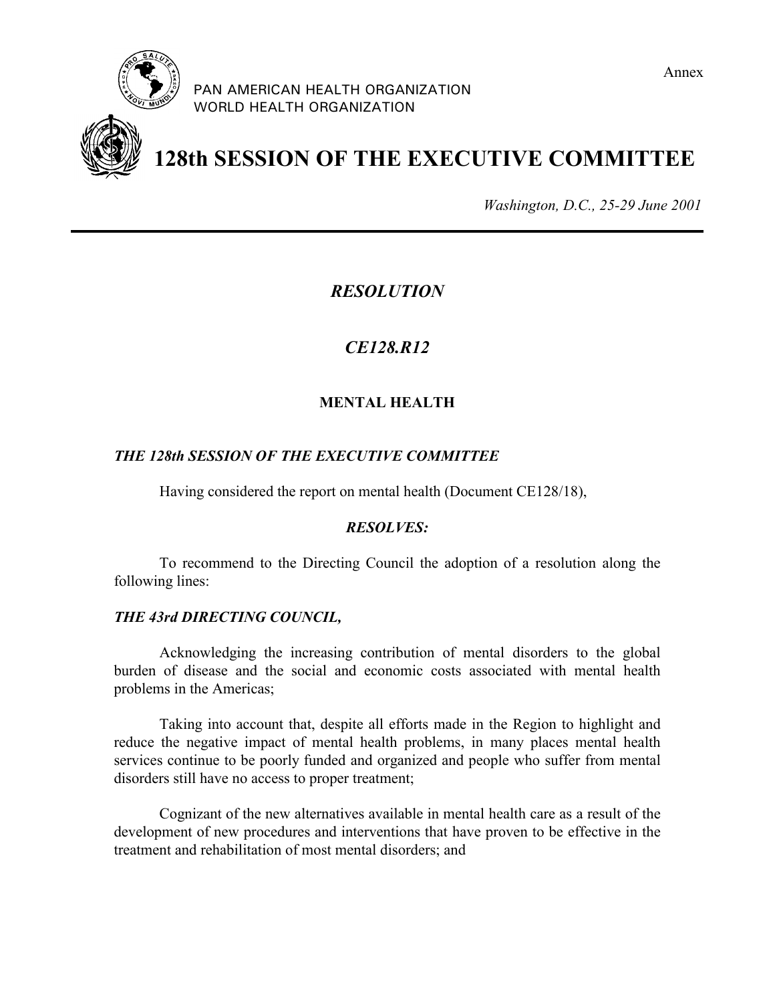

PAN AMERICAN HEALTH ORGANIZATION WORLD HEALTH ORGANIZATION





# **128th SESSION OF THE EXECUTIVE COMMITTEE**

*Washington, D.C., 25-29 June 2001*

# *RESOLUTION*

# *CE128.R12*

## **MENTAL HEALTH**

## *THE 128th SESSION OF THE EXECUTIVE COMMITTEE*

Having considered the report on mental health (Document CE128/18),

## *RESOLVES:*

To recommend to the Directing Council the adoption of a resolution along the following lines:

## *THE 43rd DIRECTING COUNCIL,*

Acknowledging the increasing contribution of mental disorders to the global burden of disease and the social and economic costs associated with mental health problems in the Americas;

Taking into account that, despite all efforts made in the Region to highlight and reduce the negative impact of mental health problems, in many places mental health services continue to be poorly funded and organized and people who suffer from mental disorders still have no access to proper treatment;

Cognizant of the new alternatives available in mental health care as a result of the development of new procedures and interventions that have proven to be effective in the treatment and rehabilitation of most mental disorders; and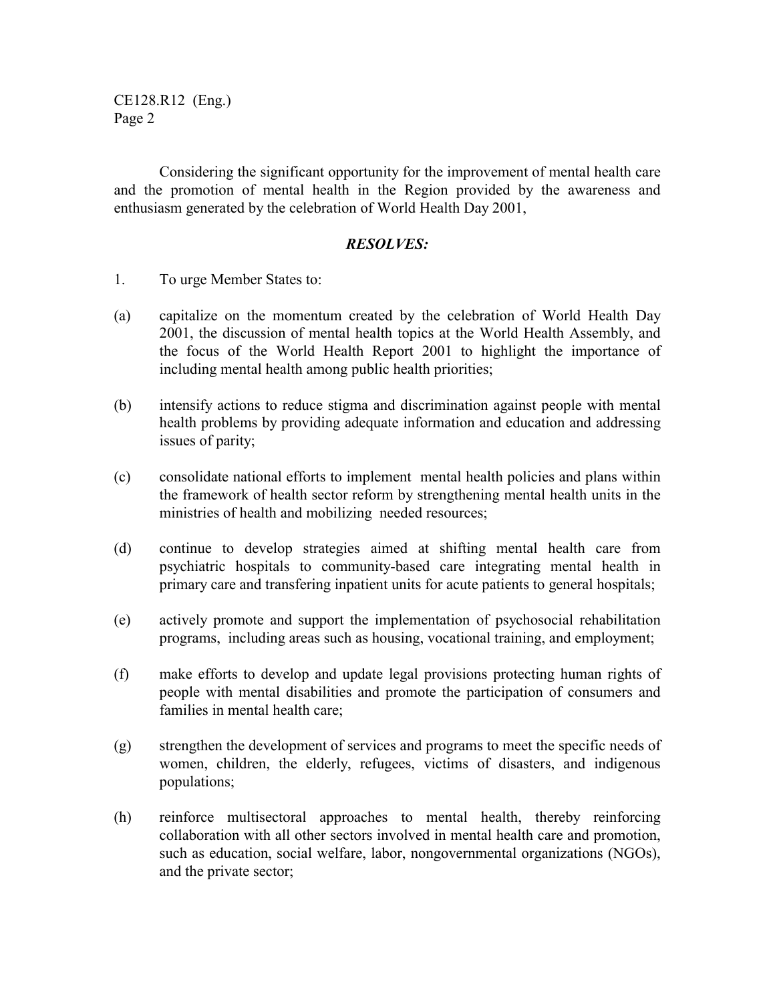CE128.R12 (Eng.) Page 2

Considering the significant opportunity for the improvement of mental health care and the promotion of mental health in the Region provided by the awareness and enthusiasm generated by the celebration of World Health Day 2001,

## *RESOLVES:*

- 1. To urge Member States to:
- (a) capitalize on the momentum created by the celebration of World Health Day 2001, the discussion of mental health topics at the World Health Assembly, and the focus of the World Health Report 2001 to highlight the importance of including mental health among public health priorities;
- (b) intensify actions to reduce stigma and discrimination against people with mental health problems by providing adequate information and education and addressing issues of parity;
- (c) consolidate national efforts to implement mental health policies and plans within the framework of health sector reform by strengthening mental health units in the ministries of health and mobilizing needed resources;
- (d) continue to develop strategies aimed at shifting mental health care from psychiatric hospitals to community-based care integrating mental health in primary care and transfering inpatient units for acute patients to general hospitals;
- (e) actively promote and support the implementation of psychosocial rehabilitation programs, including areas such as housing, vocational training, and employment;
- (f) make efforts to develop and update legal provisions protecting human rights of people with mental disabilities and promote the participation of consumers and families in mental health care;
- (g) strengthen the development of services and programs to meet the specific needs of women, children, the elderly, refugees, victims of disasters, and indigenous populations;
- (h) reinforce multisectoral approaches to mental health, thereby reinforcing collaboration with all other sectors involved in mental health care and promotion, such as education, social welfare, labor, nongovernmental organizations (NGOs), and the private sector;